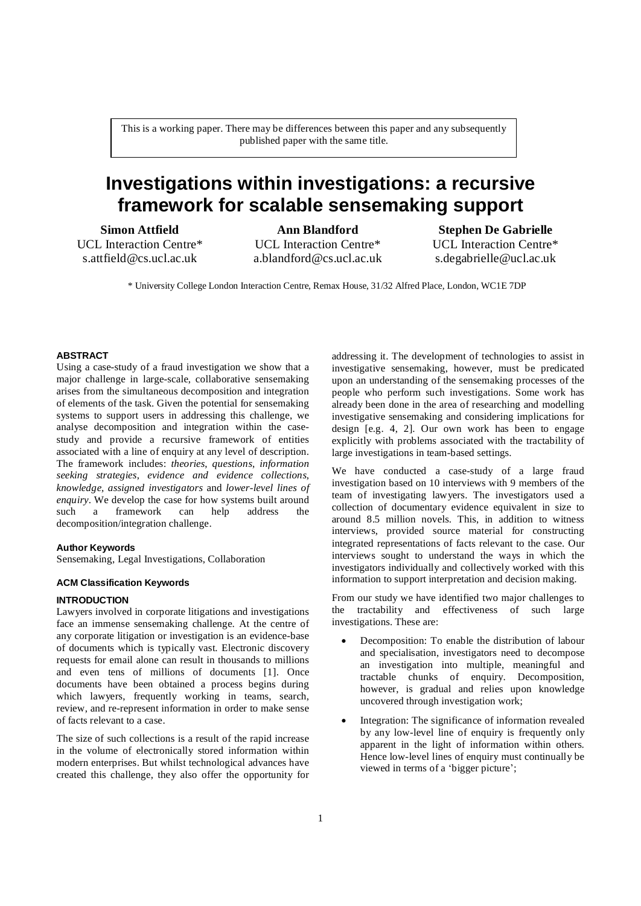This is a working paper. There may be differences between this paper and any subsequently published paper with the same title.

# **Investigations within investigations: a recursive framework for scalable sensemaking support**

**Simon Attfield** UCL Interaction Centre\* s.attfield@cs.ucl.ac.uk

# **Ann Blandford**

UCL Interaction Centre\* a.blandford@cs.ucl.ac.uk

**Stephen De Gabrielle** UCL Interaction Centre\* [s.degabrielle@ucl.ac.uk](mailto:s.degabrielle@ucl.ac.uk)

\* University College London Interaction Centre, Remax House, 31/32 Alfred Place, London, WC1E 7DP

# **ABSTRACT**

Using a case-study of a fraud investigation we show that a major challenge in large-scale, collaborative sensemaking arises from the simultaneous decomposition and integration of elements of the task. Given the potential for sensemaking systems to support users in addressing this challenge, we analyse decomposition and integration within the case study and provide a recursive framework of entities associated with a line of enquiry at any level of description. The framework includes: *theories*, *questions*, *information seeking strategies*, *evidence and evidence collections*, *knowledge, assigned investigators* and *lower-level lines of enquiry*. We develop the case for how systems built around such a framework can help address the such a framework can help address the decomposition/integration challenge.

### **Author Keywords**

Sensemaking, Legal Investigations, Collaboration

# **ACM Classification Keywords**

#### **INTRODUCTION**

Lawyers involved in corporate litigations and investigations face an immense sensemaking challenge. At the centre of any corporate litigation or investigation is an evidence-base of documents which is typically vast. Electronic discovery requests for email alone can result in thousands to millions and even tens of millions of documents [1]. Once documents have been obtained a process begins during which lawyers, frequently working in teams, search, review, and re-represent information in order to make sense of facts relevant to a case.

The size of such collections is a result of the rapid increase in the volume of electronically stored information within modern enterprises. But whilst technological advances have created this challenge, they also offer the opportunity for

addressing it. The development of technologies to assist in investigative sensemaking, however, must be predicated upon an understanding of the sensemaking processes of the people who perform such investigations. Some work has already been done in the area of researching and modelling investigative sensemaking and considering implications for design [e.g. 4, 2]. Our own work has been to engage explicitly with problems associated with the tractability of large investigations in team-based settings.

We have conducted a case-study of a large fraud investigation based on 10 interviews with 9 members of the team of investigating lawyers. The investigators used a collection of documentary evidence equivalent in size to around 8.5 million novels. This, in addition to witness interviews, provided source material for constructing integrated representations of facts relevant to the case. Our interviews sought to understand the ways in which the investigators individually and collectively worked with this information to support interpretation and decision making.

From our study we have identified two major challenges to the tractability and effectiveness of such large investigations. These are:

- Decomposition: To enable the distribution of labour and specialisation, investigators need to decompose an investigation into multiple, meaningful and tractable chunks of enquiry. Decomposition, however, is gradual and relies upon knowledge uncovered through investigation work;
- Integration: The significance of information revealed by any low-level line of enquiry is frequently only apparent in the light of information within others. Hence low-level lines of enquiry must continually be viewed in terms of a 'bigger picture';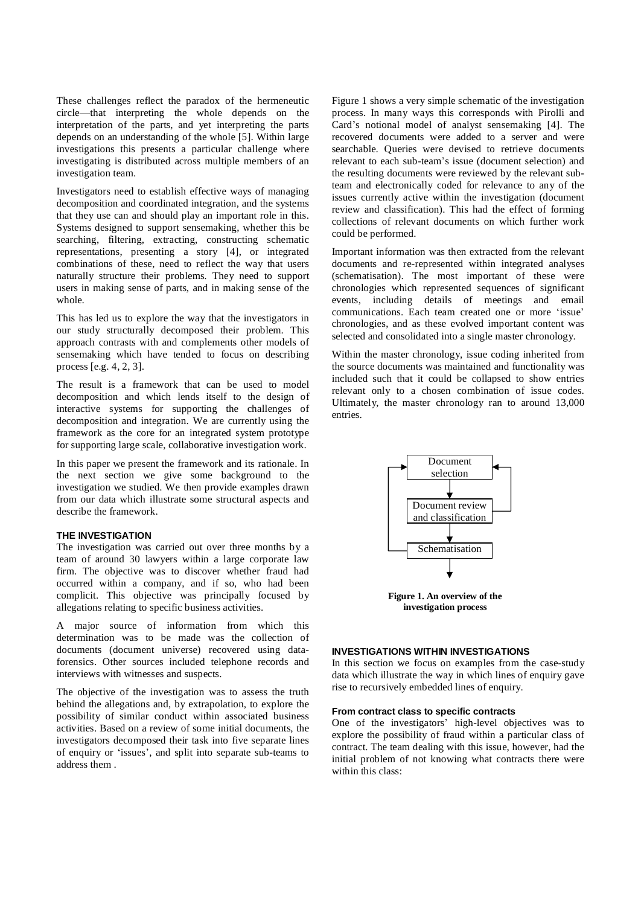These challenges reflect the paradox of the hermeneutic circle—that interpreting the whole depends on the interpretation of the parts, and yet interpreting the parts depends on an understanding of the whole [5]. Within large investigations this presents a particular challenge where investigating is distributed across multiple members of an investigation team.

Investigators need to establish effective ways of managing decomposition and coordinated integration, and the systems that they use can and should play an important role in this. Systems designed to support sensemaking, whether this be searching, filtering, extracting, constructing schematic representations, presenting a story [4], or integrated combinations of these, need to reflect the way that users naturally structure their problems. They need to support users in making sense of parts, and in making sense of the whole.

This has led us to explore the way that the investigators in our study structurally decomposed their problem. This approach contrasts with and complements other models of sensemaking which have tended to focus on describing process [e.g. 4, 2, 3].

The result is a framework that can be used to model decomposition and which lends itself to the design of interactive systems for supporting the challenges of decomposition and integration. We are currently using the framework as the core for an integrated system prototype for supporting large scale, collaborative investigation work.

In this paper we present the framework and its rationale. In the next section we give some background to the investigation we studied. We then provide examples drawn from our data which illustrate some structural aspects and describe the framework.

# **THE INVESTIGATION**

The investigation was carried out over three months by a team of around 30 lawyers within a large corporate law firm. The objective was to discover whether fraud had occurred within a company, and if so, who had been complicit. This objective was principally focused by allegations relating to specific business activities.

A major source of information from which this determination was to be made was the collection of documents (document universe) recovered using dataforensics. Other sources included telephone records and interviews with witnesses and suspects.

The objective of the investigation was to assess the truth behind the allegations and, by extrapolation, to explore the possibility of similar conduct within associated business activities. Based on a review of some initial documents, the investigators decomposed their task into five separate lines of enquiry or 'issues', and split into separate sub-teams to address them .

Figure 1 shows a very simple schematic of the investigation process. In many ways this corresponds with Pirolli and Card's notional model of analyst sensemaking [4]. The recovered documents were added to a server and were searchable. Queries were devised to retrieve documents relevant to each sub-team's issue (document selection) and the resulting documents were reviewed by the relevant subteam and electronically coded for relevance to any of the issues currently active within the investigation (document review and classification). This had the effect of forming collections of relevant documents on which further work could be performed.

Important information was then extracted from the relevant documents and re-represented within integrated analyses (schematisation). The most important of these were chronologies which represented sequences of significant events, including details of meetings and email communications. Each team created one or more 'issue' chronologies, and as these evolved important content was selected and consolidated into a single master chronology.

Within the master chronology, issue coding inherited from the source documents was maintained and functionality was included such that it could be collapsed to show entries relevant only to a chosen combination of issue codes. Ultimately, the master chronology ran to around 13,000 entries.



**Figure 1. An overview of the investigation process**

# **INVESTIGATIONS WITHIN INVESTIGATIONS**

In this section we focus on examples from the case-study data which illustrate the way in which lines of enquiry gave rise to recursively embedded lines of enquiry.

# **From contract class to specific contracts**

One of the investigators' high-level objectives was to explore the possibility of fraud within a particular class of contract. The team dealing with this issue, however, had the initial problem of not knowing what contracts there were within this class: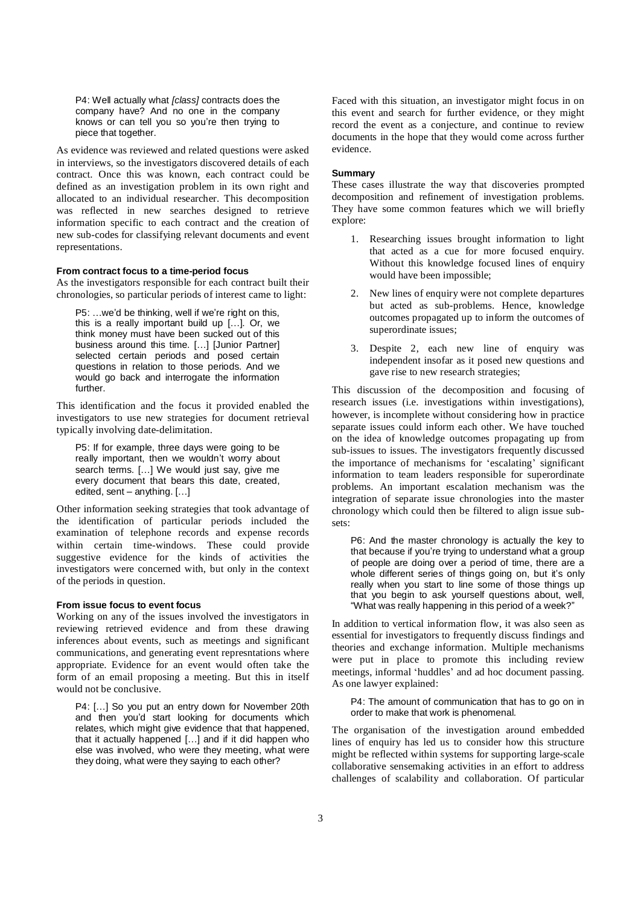P4: Well actually what [class] contracts does the company have? And no one in the company knows or can tell you so youíre then trying to piece that together.

As evidence was reviewed and related questions were asked in interviews, so the investigators discovered details of each contract. Once this was known, each contract could be defined as an investigation problem in its own right and allocated to an individual researcher. This decomposition was reflected in new searches designed to retrieve information specific to each contract and the creation of new sub-codes for classifying relevant documents and event representations.

#### **From contract focus to a time-period focus**

As the investigators responsible for each contract built their chronologies, so particular periods of interest came to light:

P5: ...we'd be thinking, well if we're right on this, this is a really important build up  $[\dots]$ . Or, we think money must have been sucked out of this business around this time. [...] [Junior Partner] selected certain periods and posed certain questions in relation to those periods. And we would go back and interrogate the information further.

This identification and the focus it provided enabled the investigators to use new strategies for document retrieval typically involving date-delimitation.

P5: If for example, three days were going to be really important, then we wouldn't worry about search terms. [...] We would just say, give me every document that bears this date, created, edited, sent  $-$  anything.  $[...]$ 

Other information seeking strategies that took advantage of the identification of particular periods included the examination of telephone records and expense records within certain time-windows. These could provide suggestive evidence for the kinds of activities the investigators were concerned with, but only in the context of the periods in question.

# **From issue focus to event focus**

Working on any of the issues involved the investigators in reviewing retrieved evidence and from these drawing inferences about events, such as meetings and significant communications, and generating event represntations where appropriate. Evidence for an event would often take the form of an email proposing a meeting. But this in itself would not be conclusive.

P4: [...] So you put an entry down for November 20th and then youíd start looking for documents which relates, which might give evidence that that happened, that it actually happened  $[...]$  and if it did happen who else was involved, who were they meeting, what were they doing, what were they saying to each other?

Faced with this situation, an investigator might focus in on this event and search for further evidence, or they might record the event as a conjecture, and continue to review documents in the hope that they would come across further evidence.

#### **Summary**

These cases illustrate the way that discoveries prompted decomposition and refinement of investigation problems. They have some common features which we will briefly explore:

- 1. Researching issues brought information to light that acted as a cue for more focused enquiry. Without this knowledge focused lines of enquiry would have been impossible;
- 2. New lines of enquiry were not complete departures but acted as sub-problems. Hence, knowledge outcomes propagated up to inform the outcomes of superordinate issues;
- 3. Despite 2, each new line of enquiry was independent insofar as it posed new questions and gave rise to new research strategies;

This discussion of the decomposition and focusing of research issues (i.e. investigations within investigations), however, is incomplete without considering how in practice separate issues could inform each other. We have touched on the idea of knowledge outcomes propagating up from sub-issues to issues. The investigators frequently discussed the importance of mechanisms for 'escalating' significant information to team leaders responsible for superordinate problems. An important escalation mechanism was the integration of separate issue chronologies into the master chronology which could then be filtered to align issue sub sets:

P6: And the master chronology is actually the key to that because if you're trying to understand what a group of people are doing over a period of time, there are a whole different series of things going on, but it's only really when you start to line some of those things up that you begin to ask yourself questions about, well, "What was really happening in this period of a week?"

In addition to vertical information flow, it was also seen as essential for investigators to frequently discuss findings and theories and exchange information. Multiple mechanisms were put in place to promote this including review meetings, informal 'huddles' and ad hoc document passing. As one lawyer explained:

P4: The amount of communication that has to go on in order to make that work is phenomenal.

The organisation of the investigation around embedded lines of enquiry has led us to consider how this structure might be reflected within systems for supporting large-scale collaborative sensemaking activities in an effort to address challenges of scalability and collaboration. Of particular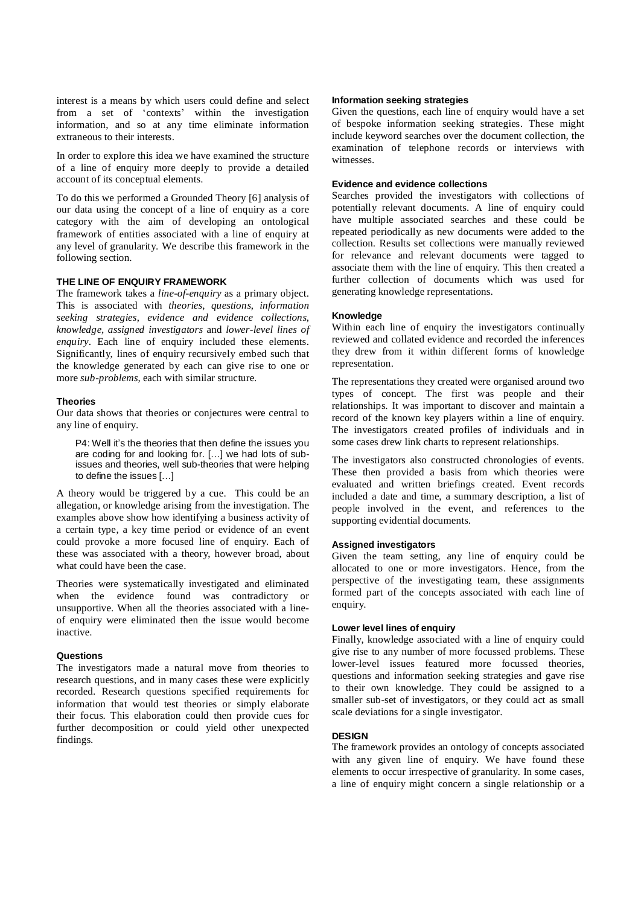interest is a means by which users could define and select from a set of 'contexts' within the investigation information, and so at any time eliminate information extraneous to their interests.

In order to explore this idea we have examined the structure of a line of enquiry more deeply to provide a detailed account of its conceptual elements.

To do this we performed a Grounded Theory [6] analysis of our data using the concept of a line of enquiry as a core category with the aim of developing an ontological framework of entities associated with a line of enquiry at any level of granularity. We describe this framework in the following section.

# **THE LINE OF ENQUIRY FRAMEWORK**

The framework takes a *line-of-enquiry* as a primary object. This is associated with *theories*, *questions*, *information seeking strategies*, *evidence and evidence collections*, *knowledge, assigned investigators* and *lower-level lines of enquiry*. Each line of enquiry included these elements. Significantly, lines of enquiry recursively embed such that the knowledge generated by each can give rise to one or more *sub-problems,* each with similar structure.

#### **Theories**

Our data shows that theories or conjectures were central to any line of enquiry.

P4: Well it's the theories that then define the issues you are coding for and looking for. [...] we had lots of subissues and theories, well sub-theories that were helping to define the issues  $[...]$ 

A theory would be triggered by a cue. This could be an allegation, or knowledge arising from the investigation. The examples above show how identifying a business activity of a certain type, a key time period or evidence of an event could provoke a more focused line of enquiry. Each of these was associated with a theory, however broad, about what could have been the case.

Theories were systematically investigated and eliminated when the evidence found was contradictory or unsupportive. When all the theories associated with a line of enquiry were eliminated then the issue would become inactive.

# **Questions**

The investigators made a natural move from theories to research questions, and in many cases these were explicitly recorded. Research questions specified requirements for information that would test theories or simply elaborate their focus. This elaboration could then provide cues for further decomposition or could yield other unexpected findings.

### **Information seeking strategies**

Given the questions, each line of enquiry would have a set of bespoke information seeking strategies. These might include keyword searches over the document collection, the examination of telephone records or interviews with witnesses.

#### **Evidence and evidence collections**

Searches provided the investigators with collections of potentially relevant documents. A line of enquiry could have multiple associated searches and these could be repeated periodically as new documents were added to the collection. Results set collections were manually reviewed for relevance and relevant documents were tagged to associate them with the line of enquiry. This then created a further collection of documents which was used for generating knowledge representations.

#### **Knowledge**

Within each line of enquiry the investigators continually reviewed and collated evidence and recorded the inferences they drew from it within different forms of knowledge representation.

The representations they created were organised around two types of concept. The first was people and their relationships. It was important to discover and maintain a record of the known key players within a line of enquiry. The investigators created profiles of individuals and in some cases drew link charts to represent relationships.

The investigators also constructed chronologies of events. These then provided a basis from which theories were evaluated and written briefings created. Event records included a date and time, a summary description, a list of people involved in the event, and references to the supporting evidential documents.

#### **Assigned investigators**

Given the team setting, any line of enquiry could be allocated to one or more investigators. Hence, from the perspective of the investigating team, these assignments formed part of the concepts associated with each line of enquiry.

#### **Lower level lines of enquiry**

Finally, knowledge associated with a line of enquiry could give rise to any number of more focussed problems. These lower-level issues featured more focussed theories, questions and information seeking strategies and gave rise to their own knowledge. They could be assigned to a smaller sub-set of investigators, or they could act as small scale deviations for a single investigator.

# **DESIGN**

The framework provides an ontology of concepts associated with any given line of enquiry. We have found these elements to occur irrespective of granularity. In some cases, a line of enquiry might concern a single relationship or a